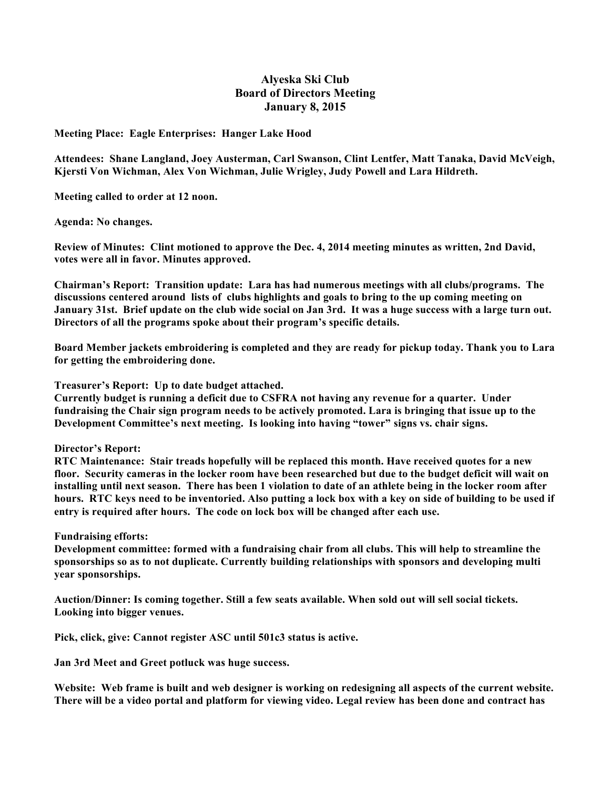## **Alyeska Ski Club Board of Directors Meeting January 8, 2015**

**Meeting Place: Eagle Enterprises: Hanger Lake Hood**

**Attendees: Shane Langland, Joey Austerman, Carl Swanson, Clint Lentfer, Matt Tanaka, David McVeigh, Kjersti Von Wichman, Alex Von Wichman, Julie Wrigley, Judy Powell and Lara Hildreth.**

**Meeting called to order at 12 noon.**

**Agenda: No changes.**

**Review of Minutes: Clint motioned to approve the Dec. 4, 2014 meeting minutes as written, 2nd David, votes were all in favor. Minutes approved.**

**Chairman's Report: Transition update: Lara has had numerous meetings with all clubs/programs. The discussions centered around lists of clubs highlights and goals to bring to the up coming meeting on** January 31st. Brief update on the club wide social on Jan 3rd. It was a huge success with a large turn out. **Directors of all the programs spoke about their program's specific details.**

**Board Member jackets embroidering is completed and they are ready for pickup today. Thank you to Lara for getting the embroidering done.**

**Treasurer's Report: Up to date budget attached.**

**Currently budget is running a deficit due to CSFRA not having any revenue for a quarter. Under** fundraising the Chair sign program needs to be actively promoted. Lara is bringing that issue up to the **Development Committee's next meeting. Is looking into having "tower" signs vs. chair signs.**

**Director's Report:** 

**RTC Maintenance: Stair treads hopefully will be replaced this month. Have received quotes for a new** floor. Security cameras in the locker room have been researched but due to the budget deficit will wait on installing until next season. There has been 1 violation to date of an athlete being in the locker room after hours. RTC keys need to be inventoried. Also putting a lock box with a key on side of building to be used if **entry is required after hours. The code on lock box will be changed after each use.**

**Fundraising efforts:** 

**Development committee: formed with a fundraising chair from all clubs. This will help to streamline the sponsorships so as to not duplicate. Currently building relationships with sponsors and developing multi year sponsorships.**

**Auction/Dinner: Is coming together. Still a few seats available. When sold out will sell social tickets. Looking into bigger venues.**

**Pick, click, give: Cannot register ASC until 501c3 status is active.**

**Jan 3rd Meet and Greet potluck was huge success.** 

Website: Web frame is built and web designer is working on redesigning all aspects of the current website. There will be a video portal and platform for viewing video. Legal review has been done and contract has